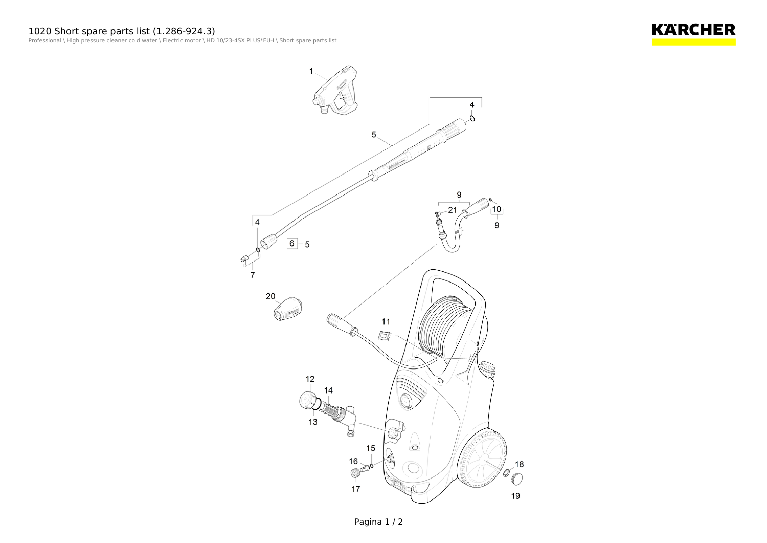



Pagina 1 / 2